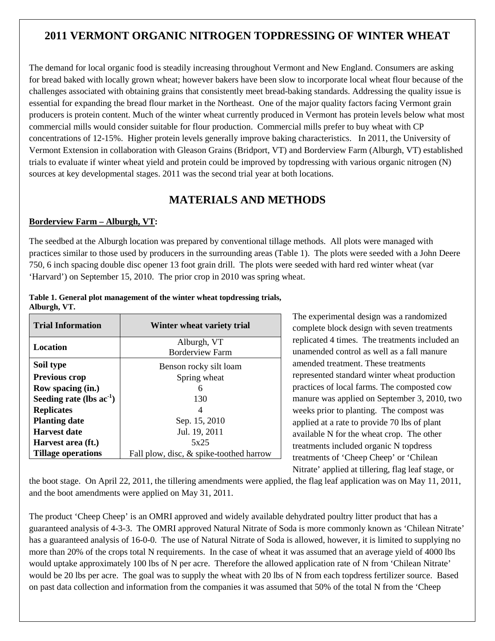# **2011 VERMONT ORGANIC NITROGEN TOPDRESSING OF WINTER WHEAT**

The demand for local organic food is steadily increasing throughout Vermont and New England. Consumers are asking for bread baked with locally grown wheat; however bakers have been slow to incorporate local wheat flour because of the challenges associated with obtaining grains that consistently meet bread-baking standards. Addressing the quality issue is essential for expanding the bread flour market in the Northeast. One of the major quality factors facing Vermont grain producers is protein content. Much of the winter wheat currently produced in Vermont has protein levels below what most commercial mills would consider suitable for flour production. Commercial mills prefer to buy wheat with CP concentrations of 12-15%. Higher protein levels generally improve baking characteristics. In 2011, the University of Vermont Extension in collaboration with Gleason Grains (Bridport, VT) and Borderview Farm (Alburgh, VT) established trials to evaluate if winter wheat yield and protein could be improved by topdressing with various organic nitrogen (N) sources at key developmental stages. 2011 was the second trial year at both locations.

# **MATERIALS AND METHODS**

#### **Borderview Farm – Alburgh, VT:**

The seedbed at the Alburgh location was prepared by conventional tillage methods. All plots were managed with practices similar to those used by producers in the surrounding areas (Table 1). The plots were seeded with a John Deere 750, 6 inch spacing double disc opener 13 foot grain drill. The plots were seeded with hard red winter wheat (var 'Harvard') on September 15, 2010. The prior crop in 2010 was spring wheat.

| <b>Trial Information</b>      | Winter wheat variety trial              |  |  |  |  |
|-------------------------------|-----------------------------------------|--|--|--|--|
| Location                      | Alburgh, VT                             |  |  |  |  |
|                               | <b>Borderview Farm</b>                  |  |  |  |  |
| Soil type                     | Benson rocky silt loam                  |  |  |  |  |
| <b>Previous crop</b>          | Spring wheat                            |  |  |  |  |
| Row spacing (in.)             | 6                                       |  |  |  |  |
| Seeding rate (lbs $ac^{-1}$ ) | 130                                     |  |  |  |  |
| <b>Replicates</b>             |                                         |  |  |  |  |
| <b>Planting date</b>          | Sep. 15, 2010                           |  |  |  |  |
| <b>Harvest date</b>           | Jul. 19, 2011                           |  |  |  |  |
| Harvest area (ft.)            | 5x25                                    |  |  |  |  |
| <b>Tillage operations</b>     | Fall plow, disc, & spike-toothed harrow |  |  |  |  |

#### **Table 1. General plot management of the winter wheat topdressing trials, Alburgh, VT.**

The experimental design was a randomized complete block design with seven treatments replicated 4 times. The treatments included an unamended control as well as a fall manure amended treatment. These treatments represented standard winter wheat production practices of local farms. The composted cow manure was applied on September 3, 2010, two weeks prior to planting. The compost was applied at a rate to provide 70 lbs of plant available N for the wheat crop. The other treatments included organic N topdress treatments of 'Cheep Cheep' or 'Chilean Nitrate' applied at tillering, flag leaf stage, or

the boot stage. On April 22, 2011, the tillering amendments were applied, the flag leaf application was on May 11, 2011, and the boot amendments were applied on May 31, 2011.

The product 'Cheep Cheep' is an OMRI approved and widely available dehydrated poultry litter product that has a guaranteed analysis of 4-3-3. The OMRI approved Natural Nitrate of Soda is more commonly known as 'Chilean Nitrate' has a guaranteed analysis of 16-0-0. The use of Natural Nitrate of Soda is allowed, however, it is limited to supplying no more than 20% of the crops total N requirements. In the case of wheat it was assumed that an average yield of 4000 lbs would uptake approximately 100 lbs of N per acre. Therefore the allowed application rate of N from 'Chilean Nitrate' would be 20 lbs per acre. The goal was to supply the wheat with 20 lbs of N from each topdress fertilizer source. Based on past data collection and information from the companies it was assumed that 50% of the total N from the 'Cheep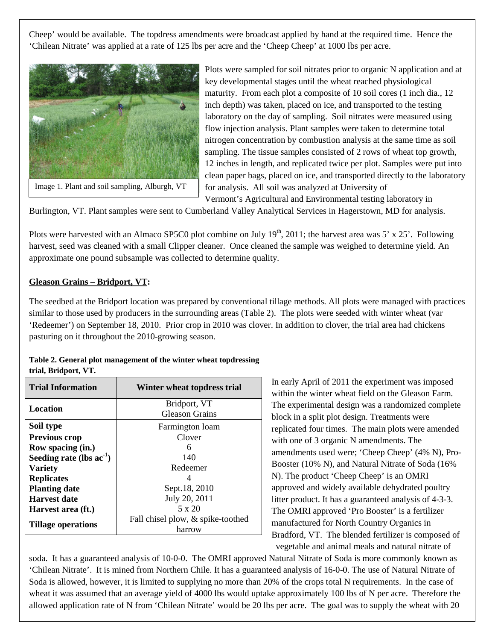Cheep' would be available. The topdress amendments were broadcast applied by hand at the required time. Hence the 'Chilean Nitrate' was applied at a rate of 125 lbs per acre and the 'Cheep Cheep' at 1000 lbs per acre.



Image 1. Plant and soil sampling, Alburgh, VT

Plots were sampled for soil nitrates prior to organic N application and at key developmental stages until the wheat reached physiological maturity. From each plot a composite of 10 soil cores (1 inch dia., 12 inch depth) was taken, placed on ice, and transported to the testing laboratory on the day of sampling. Soil nitrates were measured using flow injection analysis. Plant samples were taken to determine total nitrogen concentration by combustion analysis at the same time as soil sampling. The tissue samples consisted of 2 rows of wheat top growth, 12 inches in length, and replicated twice per plot. Samples were put into clean paper bags, placed on ice, and transported directly to the laboratory for analysis. All soil was analyzed at University of Vermont's Agricultural and Environmental testing laboratory in

Burlington, VT. Plant samples were sent to Cumberland Valley Analytical Services in Hagerstown, MD for analysis.

Plots were harvested with an Almaco SP5C0 plot combine on July  $19<sup>th</sup>$ , 2011; the harvest area was 5' x 25'. Following harvest, seed was cleaned with a small Clipper cleaner. Once cleaned the sample was weighed to determine yield. An approximate one pound subsample was collected to determine quality.

### **Gleason Grains – Bridport, VT:**

The seedbed at the Bridport location was prepared by conventional tillage methods. All plots were managed with practices similar to those used by producers in the surrounding areas (Table 2). The plots were seeded with winter wheat (var 'Redeemer') on September 18, 2010. Prior crop in 2010 was clover. In addition to clover, the trial area had chickens pasturing on it throughout the 2010-growing season.

#### **Table 2. General plot management of the winter wheat topdressing trial, Bridport, VT.**

| <b>Trial Information</b>      | Winter wheat topdress trial       |  |  |  |  |
|-------------------------------|-----------------------------------|--|--|--|--|
| Location                      | Bridport, VT                      |  |  |  |  |
|                               | <b>Gleason Grains</b>             |  |  |  |  |
| Soil type                     | Farmington loam                   |  |  |  |  |
| <b>Previous crop</b>          | Clover                            |  |  |  |  |
| Row spacing (in.)             | 6                                 |  |  |  |  |
| Seeding rate (lbs $ac^{-1}$ ) | 140                               |  |  |  |  |
| <b>Variety</b>                | Redeemer                          |  |  |  |  |
| <b>Replicates</b>             | 4                                 |  |  |  |  |
| <b>Planting date</b>          | Sept.18, 2010                     |  |  |  |  |
| <b>Harvest date</b>           | July 20, 2011                     |  |  |  |  |
| Harvest area (ft.)            | $5 \times 20$                     |  |  |  |  |
| <b>Tillage operations</b>     | Fall chisel plow, & spike-toothed |  |  |  |  |
|                               | harrow                            |  |  |  |  |

In early April of 2011 the experiment was imposed within the winter wheat field on the Gleason Farm. The experimental design was a randomized complete block in a split plot design. Treatments were replicated four times. The main plots were amended with one of 3 organic N amendments. The amendments used were; 'Cheep Cheep' (4% N), Pro-Booster (10% N), and Natural Nitrate of Soda (16% N). The product 'Cheep Cheep' is an OMRI approved and widely available dehydrated poultry litter product. It has a guaranteed analysis of 4-3-3. The OMRI approved 'Pro Booster' is a fertilizer manufactured for North Country Organics in Bradford, VT. The blended fertilizer is composed of vegetable and animal meals and natural nitrate of

soda. It has a guaranteed analysis of 10-0-0. The OMRI approved Natural Nitrate of Soda is more commonly known as 'Chilean Nitrate'. It is mined from Northern Chile. It has a guaranteed analysis of 16-0-0. The use of Natural Nitrate of Soda is allowed, however, it is limited to supplying no more than 20% of the crops total N requirements. In the case of wheat it was assumed that an average yield of 4000 lbs would uptake approximately 100 lbs of N per acre. Therefore the allowed application rate of N from 'Chilean Nitrate' would be 20 lbs per acre. The goal was to supply the wheat with 20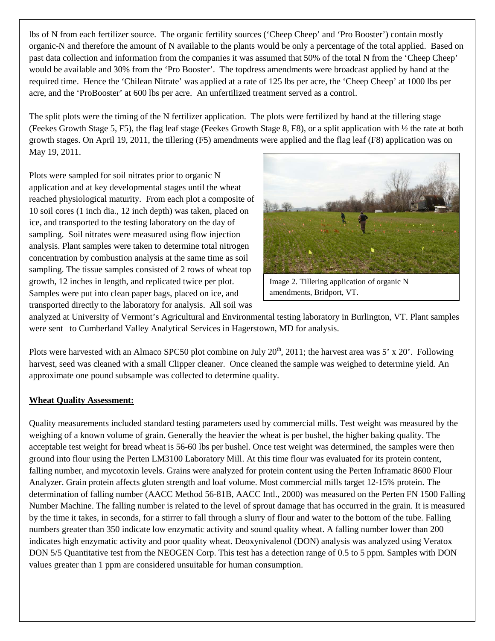lbs of N from each fertilizer source. The organic fertility sources ('Cheep Cheep' and 'Pro Booster') contain mostly organic-N and therefore the amount of N available to the plants would be only a percentage of the total applied. Based on past data collection and information from the companies it was assumed that 50% of the total N from the 'Cheep Cheep' would be available and 30% from the 'Pro Booster'. The topdress amendments were broadcast applied by hand at the required time. Hence the 'Chilean Nitrate' was applied at a rate of 125 lbs per acre, the 'Cheep Cheep' at 1000 lbs per acre, and the 'ProBooster' at 600 lbs per acre. An unfertilized treatment served as a control.

The split plots were the timing of the N fertilizer application. The plots were fertilized by hand at the tillering stage (Feekes Growth Stage 5, F5), the flag leaf stage (Feekes Growth Stage 8, F8), or a split application with  $\frac{1}{2}$  the rate at both growth stages. On April 19, 2011, the tillering (F5) amendments were applied and the flag leaf (F8) application was on May 19, 2011.

Plots were sampled for soil nitrates prior to organic N application and at key developmental stages until the wheat reached physiological maturity. From each plot a composite of 10 soil cores (1 inch dia., 12 inch depth) was taken, placed on ice, and transported to the testing laboratory on the day of sampling. Soil nitrates were measured using flow injection analysis. Plant samples were taken to determine total nitrogen concentration by combustion analysis at the same time as soil sampling. The tissue samples consisted of 2 rows of wheat top growth, 12 inches in length, and replicated twice per plot. Samples were put into clean paper bags, placed on ice, and transported directly to the laboratory for analysis. All soil was



Image 2. Tillering application of organic N amendments, Bridport, VT.

analyzed at University of Vermont's Agricultural and Environmental testing laboratory in Burlington, VT. Plant samples were sent to Cumberland Valley Analytical Services in Hagerstown, MD for analysis.

Plots were harvested with an Almaco SPC50 plot combine on July  $20^{th}$ ,  $2011$ ; the harvest area was 5' x 20'. Following harvest, seed was cleaned with a small Clipper cleaner. Once cleaned the sample was weighed to determine yield. An approximate one pound subsample was collected to determine quality.

### **Wheat Quality Assessment:**

Quality measurements included standard testing parameters used by commercial mills. Test weight was measured by the weighing of a known volume of grain. Generally the heavier the wheat is per bushel, the higher baking quality. The acceptable test weight for bread wheat is 56-60 lbs per bushel. Once test weight was determined, the samples were then ground into flour using the Perten LM3100 Laboratory Mill. At this time flour was evaluated for its protein content, falling number, and mycotoxin levels. Grains were analyzed for protein content using the Perten Inframatic 8600 Flour Analyzer. Grain protein affects gluten strength and loaf volume. Most commercial mills target 12-15% protein. The determination of falling number (AACC Method 56-81B, AACC Intl., 2000) was measured on the Perten FN 1500 Falling Number Machine. The falling number is related to the level of sprout damage that has occurred in the grain. It is measured by the time it takes, in seconds, for a stirrer to fall through a slurry of flour and water to the bottom of the tube. Falling numbers greater than 350 indicate low enzymatic activity and sound quality wheat. A falling number lower than 200 indicates high enzymatic activity and poor quality wheat. Deoxynivalenol (DON) analysis was analyzed using Veratox DON 5/5 Quantitative test from the NEOGEN Corp. This test has a detection range of 0.5 to 5 ppm. Samples with DON values greater than 1 ppm are considered unsuitable for human consumption.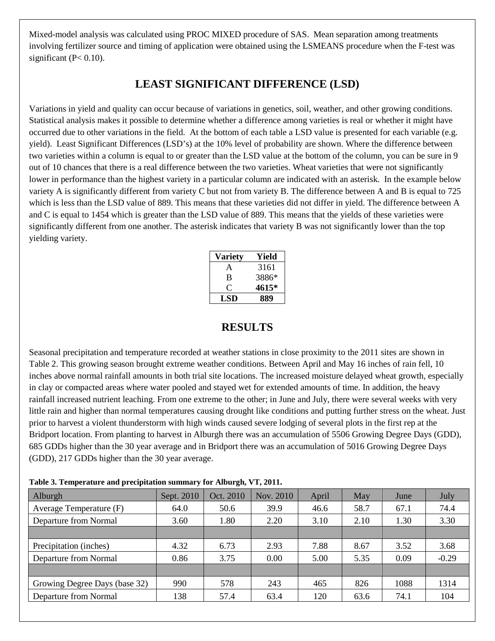Mixed-model analysis was calculated using PROC MIXED procedure of SAS. Mean separation among treatments involving fertilizer source and timing of application were obtained using the LSMEANS procedure when the F-test was significant ( $P < 0.10$ ).

# **LEAST SIGNIFICANT DIFFERENCE (LSD)**

Variations in yield and quality can occur because of variations in genetics, soil, weather, and other growing conditions. Statistical analysis makes it possible to determine whether a difference among varieties is real or whether it might have occurred due to other variations in the field. At the bottom of each table a LSD value is presented for each variable (e.g. yield). Least Significant Differences (LSD's) at the 10% level of probability are shown. Where the difference between two varieties within a column is equal to or greater than the LSD value at the bottom of the column, you can be sure in 9 out of 10 chances that there is a real difference between the two varieties. Wheat varieties that were not significantly lower in performance than the highest variety in a particular column are indicated with an asterisk. In the example below variety A is significantly different from variety C but not from variety B. The difference between A and B is equal to 725 which is less than the LSD value of 889. This means that these varieties did not differ in yield. The difference between A and C is equal to 1454 which is greater than the LSD value of 889. This means that the yields of these varieties were significantly different from one another. The asterisk indicates that variety B was not significantly lower than the top yielding variety.

| Variety | Yield |
|---------|-------|
| A       | 3161  |
| B       | 3886* |
| ¢,      | 4615* |
| LSD     | 889   |

## **RESULTS**

Seasonal precipitation and temperature recorded at weather stations in close proximity to the 2011 sites are shown in Table 2. This growing season brought extreme weather conditions. Between April and May 16 inches of rain fell, 10 inches above normal rainfall amounts in both trial site locations. The increased moisture delayed wheat growth, especially in clay or compacted areas where water pooled and stayed wet for extended amounts of time. In addition, the heavy rainfall increased nutrient leaching. From one extreme to the other; in June and July, there were several weeks with very little rain and higher than normal temperatures causing drought like conditions and putting further stress on the wheat. Just prior to harvest a violent thunderstorm with high winds caused severe lodging of several plots in the first rep at the Bridport location. From planting to harvest in Alburgh there was an accumulation of 5506 Growing Degree Days (GDD), 685 GDDs higher than the 30 year average and in Bridport there was an accumulation of 5016 Growing Degree Days (GDD), 217 GDDs higher than the 30 year average.

| Table 3. Temperature and precipitation summary for Alburgh, VT, 2011. |  |                              |  |  |  |  |  |
|-----------------------------------------------------------------------|--|------------------------------|--|--|--|--|--|
| $\sqrt{11}$ 1                                                         |  | $0.0010$ $0.0010$ $N = 0010$ |  |  |  |  |  |

| <b>Alburgh</b>                | Sept. 2010 | Oct. 2010 | Nov. 2010 | April | May  | June | July    |
|-------------------------------|------------|-----------|-----------|-------|------|------|---------|
| Average Temperature (F)       | 64.0       | 50.6      | 39.9      | 46.6  | 58.7 | 67.1 | 74.4    |
| Departure from Normal         | 3.60       | 1.80      | 2.20      | 3.10  | 2.10 | 1.30 | 3.30    |
|                               |            |           |           |       |      |      |         |
| Precipitation (inches)        | 4.32       | 6.73      | 2.93      | 7.88  | 8.67 | 3.52 | 3.68    |
| Departure from Normal         | 0.86       | 3.75      | 0.00      | 5.00  | 5.35 | 0.09 | $-0.29$ |
|                               |            |           |           |       |      |      |         |
| Growing Degree Days (base 32) | 990        | 578       | 243       | 465   | 826  | 1088 | 1314    |
| Departure from Normal         | 138        | 57.4      | 63.4      | 120   | 63.6 | 74.1 | 104     |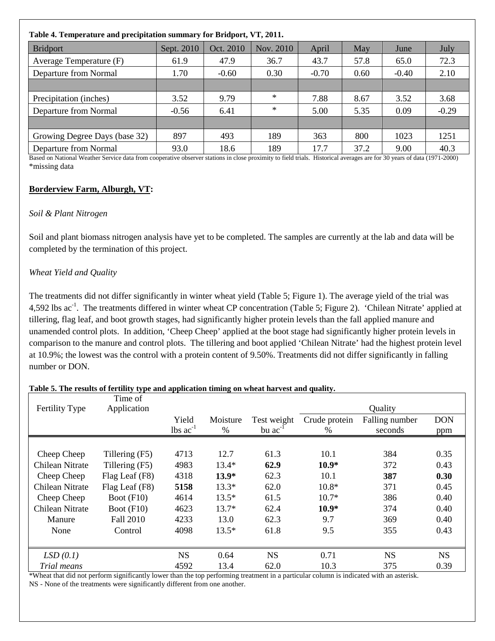| Table 4. Temperature and precipitation summary for Bridport, VT, 2011. |            |           |           |         |      |                       |                                                      |  |
|------------------------------------------------------------------------|------------|-----------|-----------|---------|------|-----------------------|------------------------------------------------------|--|
| <b>Bridport</b>                                                        | Sept. 2010 | Oct. 2010 | Nov. 2010 | April   | May  | June                  | July                                                 |  |
| Average Temperature (F)                                                | 61.9       | 47.9      | 36.7      | 43.7    | 57.8 | 65.0                  | 72.3                                                 |  |
| Departure from Normal                                                  | 1.70       | $-0.60$   | 0.30      | $-0.70$ | 0.60 | $-0.40$               | 2.10                                                 |  |
|                                                                        |            |           |           |         |      |                       |                                                      |  |
| Precipitation (inches)                                                 | 3.52       | 9.79      | $\ast$    | 7.88    | 8.67 | 3.52                  | 3.68                                                 |  |
| Departure from Normal                                                  | $-0.56$    | 6.41      | ∗         | 5.00    | 5.35 | 0.09                  | $-0.29$                                              |  |
|                                                                        |            |           |           |         |      |                       |                                                      |  |
| Growing Degree Days (base 32)                                          | 897        | 493       | 189       | 363     | 800  | 1023                  | 1251                                                 |  |
| Departure from Normal<br>.                                             | 93.0       | 18.6      | 189       | 17.7    | 37.2 | 9.00<br>$\sim$ $\sim$ | 40.3<br>$\sim$ $(10.72 \times 10^{-3} \times 0.000)$ |  |

Based on National Weather Service data from cooperative observer stations in close proximity to field trials. Historical averages are for 30 years of data (1971-2000) \*missing data

### **Borderview Farm, Alburgh, VT:**

### *Soil & Plant Nitrogen*

Soil and plant biomass nitrogen analysis have yet to be completed. The samples are currently at the lab and data will be completed by the termination of this project.

### *Wheat Yield and Quality*

The treatments did not differ significantly in winter wheat yield (Table 5; Figure 1). The average yield of the trial was 4,592 lbs ac<sup>-1</sup>. The treatments differed in winter wheat CP concentration (Table 5; Figure 2). 'Chilean Nitrate' applied at tillering, flag leaf, and boot growth stages, had significantly higher protein levels than the fall applied manure and unamended control plots. In addition, 'Cheep Cheep' applied at the boot stage had significantly higher protein levels in comparison to the manure and control plots. The tillering and boot applied 'Chilean Nitrate' had the highest protein level at 10.9%; the lowest was the control with a protein content of 9.50%. Treatments did not differ significantly in falling number or DON.

## Fertility Type Time of Application Quality Yield Moisture Test weight Crude protein Falling number DON lbs  $ac^{-1}$  % bu  $ac^{-1}$  % seconds ppm Cheep Cheep Tillering (F5) 4713 12.7 61.3 10.1 384 0.35 Chilean Nitrate Tillering (F5) 4983 13.4\* **62.9 10.9\*** 372 0.43 Cheep Cheep Flag Leaf (F8) 4318 **13.9\*** 62.3 10.1 **387 0.30** Chilean Nitrate Flag Leaf (F8) **5158** 13.3\* 62.0 10.8\* 371 0.45 Cheep Cheep Boot (F10)  $4614$   $13.5^*$   $61.5$   $10.7^*$   $386$  0.40 Chilean Nitrate Boot (F10) 4623 13.7\* 62.4 **10.9\*** 374 0.40 Manure Fall 2010 4233 13.0 62.3 9.7 369 0.40 None Control 4098 13.5\* 61.8 9.5 355 0.43 *LSD* (0.1) **NS** 0.64 **NS** 0.71 **NS** NS *Trial means* 4592 13.4 62.0 10.3 375 0.39

**Table 5. The results of fertility type and application timing on wheat harvest and quality.**

\*Wheat that did not perform significantly lower than the top performing treatment in a particular column is indicated with an asterisk. NS - None of the treatments were significantly different from one another.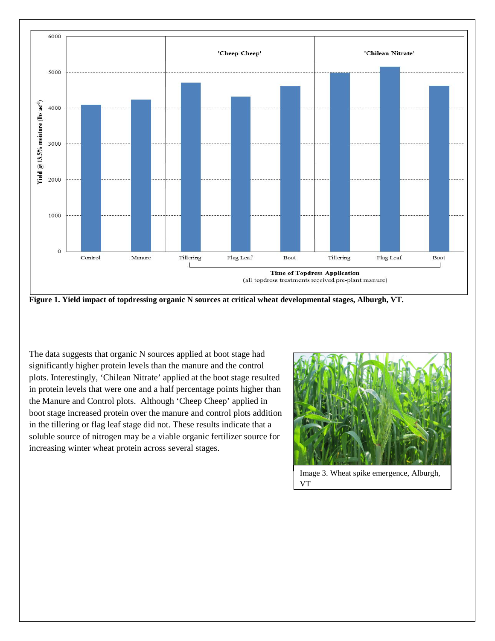

**Figure 1. Yield impact of topdressing organic N sources at critical wheat developmental stages, Alburgh, VT.**

The data suggests that organic N sources applied at boot stage had significantly higher protein levels than the manure and the control plots. Interestingly, 'Chilean Nitrate' applied at the boot stage resulted in protein levels that were one and a half percentage points higher than the Manure and Control plots. Although 'Cheep Cheep' applied in boot stage increased protein over the manure and control plots addition in the tillering or flag leaf stage did not. These results indicate that a soluble source of nitrogen may be a viable organic fertilizer source for increasing winter wheat protein across several stages.



Image 3. Wheat spike emergence, Alburgh, VT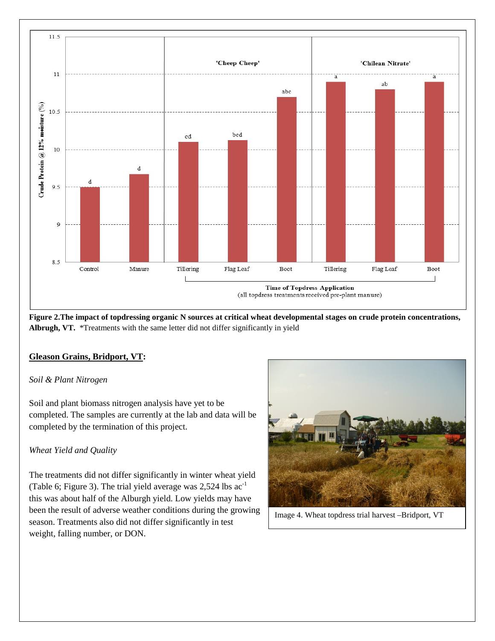

**Figure 2.The impact of topdressing organic N sources at critical wheat developmental stages on crude protein concentrations, Albrugh, VT.** \*Treatments with the same letter did not differ significantly in yield

### **Gleason Grains, Bridport, VT:**

### *Soil & Plant Nitrogen*

Soil and plant biomass nitrogen analysis have yet to be completed. The samples are currently at the lab and data will be completed by the termination of this project.

### *Wheat Yield and Quality*

The treatments did not differ significantly in winter wheat yield (Table 6; Figure 3). The trial yield average was 2,524 lbs ac-1 this was about half of the Alburgh yield. Low yields may have been the result of adverse weather conditions during the growing season. Treatments also did not differ significantly in test weight, falling number, or DON.



Image 4. Wheat topdress trial harvest –Bridport, VT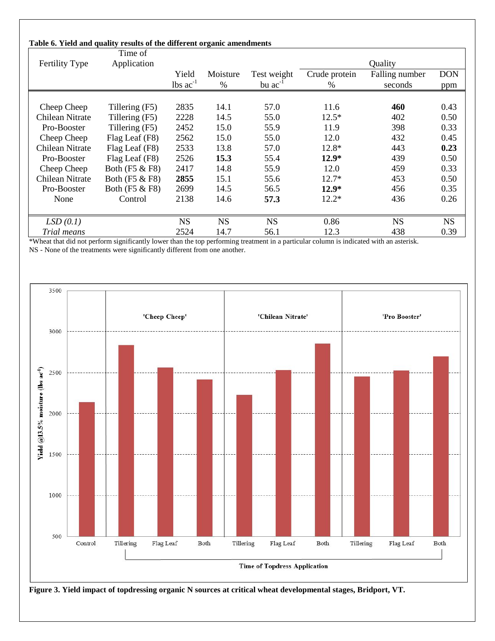#### **Table 6. Yield and quality results of the different organic amendments**

|                 | Time of        |                        |           |              |               |                |            |
|-----------------|----------------|------------------------|-----------|--------------|---------------|----------------|------------|
| Fertility Type  | Application    |                        |           |              |               | Quality        |            |
|                 |                | Yield                  | Moisture  | Test weight  | Crude protein | Falling number | <b>DON</b> |
|                 |                | $lbs$ ac <sup>-1</sup> | $\%$      | bu $ac^{-1}$ | $\%$          | seconds        | ppm        |
|                 |                |                        |           |              |               |                |            |
| Cheep Cheep     | Tillering (F5) | 2835                   | 14.1      | 57.0         | 11.6          | 460            | 0.43       |
| Chilean Nitrate | Tillering (F5) | 2228                   | 14.5      | 55.0         | $12.5*$       | 402            | 0.50       |
| Pro-Booster     | Tillering (F5) | 2452                   | 15.0      | 55.9         | 11.9          | 398            | 0.33       |
| Cheep Cheep     | Flag Leaf (F8) | 2562                   | 15.0      | 55.0         | 12.0          | 432            | 0.45       |
| Chilean Nitrate | Flag Leaf (F8) | 2533                   | 13.8      | 57.0         | 12.8*         | 443            | 0.23       |
| Pro-Booster     | Flag Leaf (F8) | 2526                   | 15.3      | 55.4         | $12.9*$       | 439            | 0.50       |
| Cheep Cheep     | Both (F5 & F8) | 2417                   | 14.8      | 55.9         | 12.0          | 459            | 0.33       |
| Chilean Nitrate | Both (F5 & F8) | 2855                   | 15.1      | 55.6         | $12.7*$       | 453            | 0.50       |
| Pro-Booster     | Both (F5 & F8) | 2699                   | 14.5      | 56.5         | $12.9*$       | 456            | 0.35       |
| None            | Control        | 2138                   | 14.6      | 57.3         | $12.2*$       | 436            | 0.26       |
|                 |                |                        |           |              |               |                |            |
| LSD(0.1)        |                | <b>NS</b>              | <b>NS</b> | <b>NS</b>    | 0.86          | <b>NS</b>      | <b>NS</b>  |
| Trial means     |                | 2524                   | 14.7      | 56.1         | 12.3          | 438            | 0.39       |

\*Wheat that did not perform significantly lower than the top performing treatment in a particular column is indicated with an asterisk. NS - None of the treatments were significantly different from one another.



**Figure 3. Yield impact of topdressing organic N sources at critical wheat developmental stages, Bridport, VT.**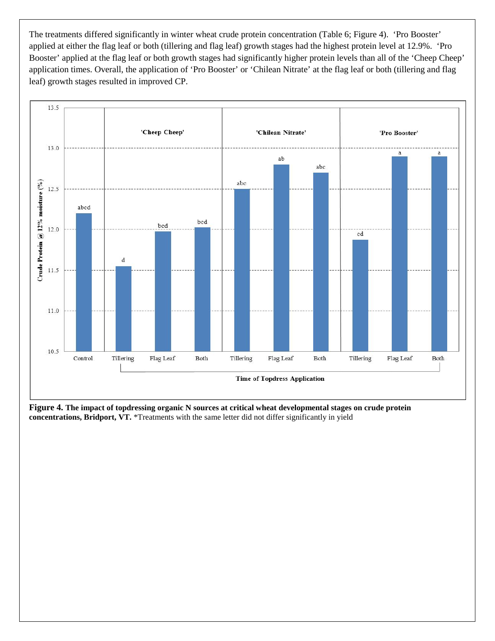The treatments differed significantly in winter wheat crude protein concentration (Table 6; Figure 4). 'Pro Booster' applied at either the flag leaf or both (tillering and flag leaf) growth stages had the highest protein level at 12.9%. 'Pro Booster' applied at the flag leaf or both growth stages had significantly higher protein levels than all of the 'Cheep Cheep' application times. Overall, the application of 'Pro Booster' or 'Chilean Nitrate' at the flag leaf or both (tillering and flag leaf) growth stages resulted in improved CP.



**Figure 4. The impact of topdressing organic N sources at critical wheat developmental stages on crude protein concentrations, Bridport, VT.** \*Treatments with the same letter did not differ significantly in yield